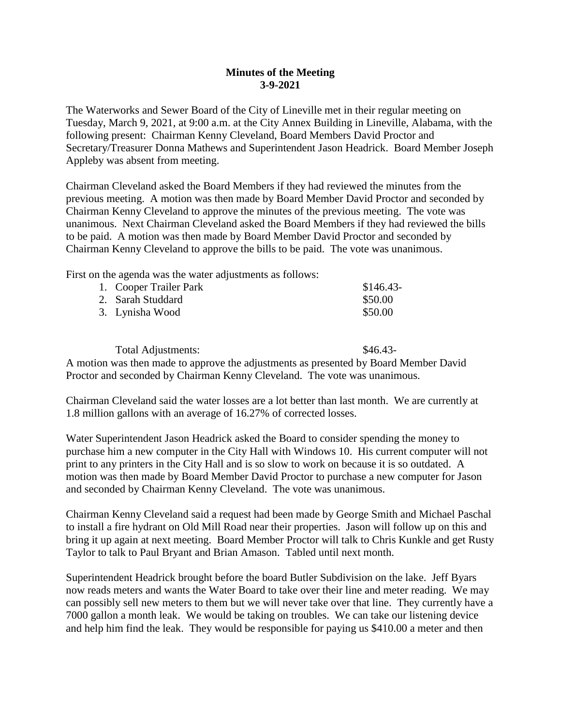## **Minutes of the Meeting 3-9-2021**

The Waterworks and Sewer Board of the City of Lineville met in their regular meeting on Tuesday, March 9, 2021, at 9:00 a.m. at the City Annex Building in Lineville, Alabama, with the following present: Chairman Kenny Cleveland, Board Members David Proctor and Secretary/Treasurer Donna Mathews and Superintendent Jason Headrick. Board Member Joseph Appleby was absent from meeting.

Chairman Cleveland asked the Board Members if they had reviewed the minutes from the previous meeting. A motion was then made by Board Member David Proctor and seconded by Chairman Kenny Cleveland to approve the minutes of the previous meeting. The vote was unanimous. Next Chairman Cleveland asked the Board Members if they had reviewed the bills to be paid. A motion was then made by Board Member David Proctor and seconded by Chairman Kenny Cleveland to approve the bills to be paid. The vote was unanimous.

First on the agenda was the water adjustments as follows:

| 1. Cooper Trailer Park | $$146.43-$ |
|------------------------|------------|
| 2. Sarah Studdard      | \$50.00    |
| 3. Lynisha Wood        | \$50.00    |

Total Adjustments:  $\$46.43-$ A motion was then made to approve the adjustments as presented by Board Member David Proctor and seconded by Chairman Kenny Cleveland. The vote was unanimous.

Chairman Cleveland said the water losses are a lot better than last month. We are currently at 1.8 million gallons with an average of 16.27% of corrected losses.

Water Superintendent Jason Headrick asked the Board to consider spending the money to purchase him a new computer in the City Hall with Windows 10. His current computer will not print to any printers in the City Hall and is so slow to work on because it is so outdated. A motion was then made by Board Member David Proctor to purchase a new computer for Jason and seconded by Chairman Kenny Cleveland. The vote was unanimous.

Chairman Kenny Cleveland said a request had been made by George Smith and Michael Paschal to install a fire hydrant on Old Mill Road near their properties. Jason will follow up on this and bring it up again at next meeting. Board Member Proctor will talk to Chris Kunkle and get Rusty Taylor to talk to Paul Bryant and Brian Amason. Tabled until next month.

Superintendent Headrick brought before the board Butler Subdivision on the lake. Jeff Byars now reads meters and wants the Water Board to take over their line and meter reading. We may can possibly sell new meters to them but we will never take over that line. They currently have a 7000 gallon a month leak. We would be taking on troubles. We can take our listening device and help him find the leak. They would be responsible for paying us \$410.00 a meter and then